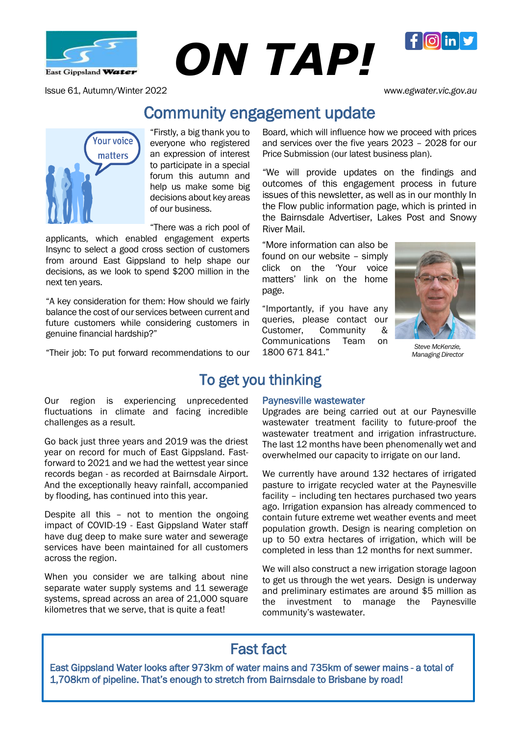

East Gippsland Water **ON TAP!** 

**Community engagement updaterrater.** 

Issue 61, Autumn/Winter 2022 www.*egwater.vic.gov.au*

 $\mathbf{f}$   $\left| \mathbf{f} \right|$  in



challenges as a result.

across the region.

"Firstly, a big thank you to everyone who registered an expression of interest to participate in a special forum this autumn and help us make some big decisions about key areas of our business.

"There was a rich pool of

applicants, which enabled engagement experts applicants Insync to select a good cross section of customers from around East Gippsland to help shape our decisions, as we look to spend \$200 million in the next ten years.

"A key consideration for them: How should we fairly balance the cost of our services between current and future customers while considering customers in genuine financial hardship?"

"Their job: To put forward recommendations to our

Our region is experiencing unprecedented fluctuations in climate and facing incredible

Go back just three years and 2019 was the driest year on record for much of East Gippsland. Fastforward to 2021 and we had the wettest year since records began - as recorded at Bairnsdale Airport. And the exceptionally heavy rainfall, accompanied

Despite all this – not to mention the ongoing impact of COVID-19 - East Gippsland Water staff have dug deep to make sure water and sewerage services have been maintained for all customers

When you consider we are talking about nine separate water supply systems and 11 sewerage systems, spread across an area of 21,000 square kilometres that we serve, that is quite a feat!

by flooding, has continued into this year.

Board, which will influence how we proceed with prices and services over the five years 2023 – 2028 for our Price Submission (our latest business plan).

"We will provide updates on the findings and outcomes of this engagement process in future issues of this newsletter, as well as in our monthly In the Flow public information page, which is printed in the Bairnsdale Advertiser, Lakes Post and Snowy River Mail.

"More information can also be found on our website – simply click on the 'Your voice matters' link on the home page.

"Importantly, if you have any queries, please contact our Customer, Community & Communications Team on 1800 671 841."



*Steve McKenzie, Managing Director*

## To get you thinking

Paynesville wastewater

Upgrades are being carried out at our Paynesville wastewater treatment facility to future-proof the wastewater treatment and irrigation infrastructure. The last 12 months have been phenomenally wet and overwhelmed our capacity to irrigate on our land.

We currently have around 132 hectares of irrigated pasture to irrigate recycled water at the Paynesville facility – including ten hectares purchased two years ago. Irrigation expansion has already commenced to contain future extreme wet weather events and meet population growth. Design is nearing completion on up to 50 extra hectares of irrigation, which will be completed in less than 12 months for next summer.

the We will also construct a new irrigation storage lagoon to get us through the wet years. Design is underway and preliminary estimates are around \$5 million as investment to manage the Paynesville community's wastewater.

## Fast fact

East Gippsland Water looks after 973km of water mains and 735km of sewer mains - a total of 1,708km of pipeline. That's enough to stretch from Bairnsdale to Brisbane by road!